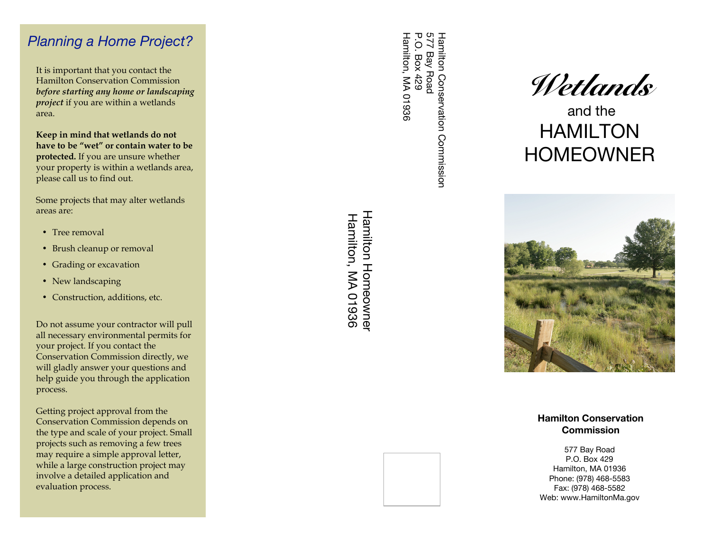## *Planning a Home Project?*

It is important that you contact the Hamilton Conservation Commission *before starting any home or landscaping project* if you are within a wetlands area.

**Keep in mind that wetlands do not have to be "wet" or contain water to be protected.** If you are unsure whether your property is within a wetlands area, please call us to find out.

Some projects that may alter wetlands areas are:

- Tree removal
- Brush cleanup or removal
- Grading or excavation
- New landscaping
- Construction, additions, etc.

Do not assume your contractor will pull all necessary environmental permits for your project. If you contact the Conservation Commission directly, we will gladly answer your questions and help guide you through the application process.

Getting project approval from the Conservation Commission depends on the type and scale of your project. Small projects such as removing a few trees may require a simple approval letter, while a large construction project may involve a detailed application and evaluation process.

**Hamilton Homeownel** Hamilton Homeowner Hamilton, MA 01936 Hamilton, MA 01936

577 Bay Road<br>P.O. Box 429<br>P.O. Box 429 Hamilton, MA 01936 577 Bay Road Hamilton Conservation Commission Hamilton, MA 01936 P.O. Box 429 Hamilton Conservation Commission



 and the HAMILTON HOMEOWNER



**Hamilton Conservation Commission**

577 Bay Road P.O. Box 429 Hamilton, MA 01936 Phone: (978) 468-5583 Fax: (978) 468-5582 Web: www.HamiltonMa.gov